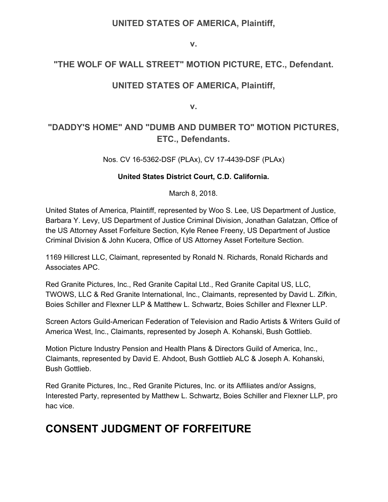#### **UNITED STATES OF AMERICA, Plaintiff,**

**v.**

#### **"THE WOLF OF WALL STREET" MOTION PICTURE, ETC., Defendant.**

#### **UNITED STATES OF AMERICA, Plaintiff,**

**v.**

#### **"DADDY'S HOME" AND "DUMB AND DUMBER TO" MOTION PICTURES, ETC., Defendants.**

Nos. CV 16-5362-DSF (PLAx), CV 17-4439-DSF (PLAx)

#### **United States District Court, C.D. California.**

March 8, 2018.

United States of America, Plaintiff, represented by Woo S. Lee, US Department of Justice, Barbara Y. Levy, US Department of Justice Criminal Division, Jonathan Galatzan, Office of the US Attorney Asset Forfeiture Section, Kyle Renee Freeny, US Department of Justice Criminal Division & John Kucera, Office of US Attorney Asset Forteiture Section.

1169 Hillcrest LLC, Claimant, represented by Ronald N. Richards, Ronald Richards and Associates APC.

Red Granite Pictures, Inc., Red Granite Capital Ltd., Red Granite Capital US, LLC, TWOWS, LLC & Red Granite International, Inc., Claimants, represented by David L. Zifkin, Boies Schiller and Flexner LLP & Matthew L. Schwartz, Boies Schiller and Flexner LLP.

Screen Actors Guild-American Federation of Television and Radio Artists & Writers Guild of America West, Inc., Claimants, represented by Joseph A. Kohanski, Bush Gottlieb.

Motion Picture Industry Pension and Health Plans & Directors Guild of America, Inc., Claimants, represented by David E. Ahdoot, Bush Gottlieb ALC & Joseph A. Kohanski, Bush Gottlieb.

Red Granite Pictures, Inc., Red Granite Pictures, Inc. or its Affiliates and/or Assigns, Interested Party, represented by Matthew L. Schwartz, Boies Schiller and Flexner LLP, pro hac vice.

## **CONSENT JUDGMENT OF FORFEITURE**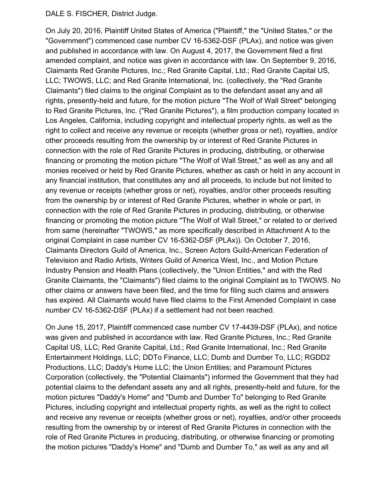#### DALE S. FISCHER, District Judge.

On July 20, 2016, Plaintiff United States of America ("Plaintiff," the "United States," or the "Government") commenced case number CV 16-5362-DSF (PLAx), and notice was given and published in accordance with law. On August 4, 2017, the Government filed a first amended complaint, and notice was given in accordance with law. On September 9, 2016, Claimants Red Granite Pictures, Inc.; Red Granite Capital, Ltd.; Red Granite Capital US, LLC; TWOWS, LLC; and Red Granite International, Inc. (collectively, the "Red Granite Claimants") filed claims to the original Complaint as to the defendant asset any and all rights, presently-held and future, for the motion picture "The Wolf of Wall Street" belonging to Red Granite Pictures, Inc. ("Red Granite Pictures"), a film production company located in Los Angeles, California, including copyright and intellectual property rights, as well as the right to collect and receive any revenue or receipts (whether gross or net), royalties, and/or other proceeds resulting from the ownership by or interest of Red Granite Pictures in connection with the role of Red Granite Pictures in producing, distributing, or otherwise financing or promoting the motion picture "The Wolf of Wall Street," as well as any and all monies received or held by Red Granite Pictures, whether as cash or held in any account in any financial institution, that constitutes any and all proceeds, to include but not limited to any revenue or receipts (whether gross or net), royalties, and/or other proceeds resulting from the ownership by or interest of Red Granite Pictures, whether in whole or part, in connection with the role of Red Granite Pictures in producing, distributing, or otherwise financing or promoting the motion picture "The Wolf of Wall Street," or related to or derived from same (hereinafter "TWOWS," as more specifically described in Attachment A to the original Complaint in case number CV 16-5362-DSF (PLAx)). On October 7, 2016, Claimants Directors Guild of America, Inc., Screen Actors Guild-American Federation of Television and Radio Artists, Writers Guild of America West, Inc., and Motion Picture Industry Pension and Health Plans (collectively, the "Union Entities," and with the Red Granite Claimants, the "Claimants") filed claims to the original Complaint as to TWOWS. No other claims or answers have been filed, and the time for filing such claims and answers has expired. All Claimants would have filed claims to the First Amended Complaint in case number CV 16-5362-DSF (PLAx) if a settlement had not been reached.

On June 15, 2017, Plaintiff commenced case number CV 17-4439-DSF (PLAx), and notice was given and published in accordance with law. Red Granite Pictures, Inc.; Red Granite Capital US, LLC; Red Granite Capital, Ltd.; Red Granite International, Inc.; Red Granite Entertainment Holdings, LLC; DDTo Finance, LLC; Dumb and Dumber To, LLC; RGDD2 Productions, LLC; Daddy's Home LLC; the Union Entities; and Paramount Pictures Corporation (collectively, the "Potential Claimants") informed the Government that they had potential claims to the defendant assets any and all rights, presently-held and future, for the motion pictures "Daddy's Home" and "Dumb and Dumber To" belonging to Red Granite Pictures, including copyright and intellectual property rights, as well as the right to collect and receive any revenue or receipts (whether gross or net), royalties, and/or other proceeds resulting from the ownership by or interest of Red Granite Pictures in connection with the role of Red Granite Pictures in producing, distributing, or otherwise financing or promoting the motion pictures "Daddy's Home" and "Dumb and Dumber To," as well as any and all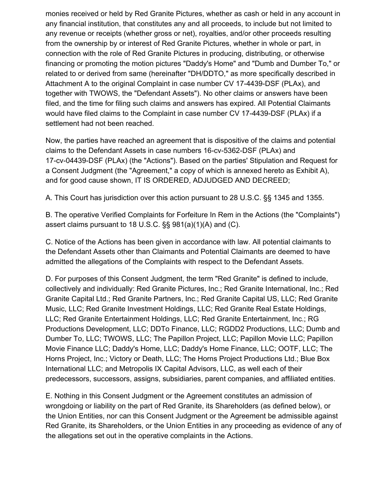monies received or held by Red Granite Pictures, whether as cash or held in any account in any financial institution, that constitutes any and all proceeds, to include but not limited to any revenue or receipts (whether gross or net), royalties, and/or other proceeds resulting from the ownership by or interest of Red Granite Pictures, whether in whole or part, in connection with the role of Red Granite Pictures in producing, distributing, or otherwise financing or promoting the motion pictures "Daddy's Home" and "Dumb and Dumber To," or related to or derived from same (hereinafter "DH/DDTO," as more specifically described in Attachment A to the original Complaint in case number CV 17-4439-DSF (PLAx), and together with TWOWS, the "Defendant Assets"). No other claims or answers have been filed, and the time for filing such claims and answers has expired. All Potential Claimants would have filed claims to the Complaint in case number CV 17-4439-DSF (PLAx) if a settlement had not been reached.

Now, the parties have reached an agreement that is dispositive of the claims and potential claims to the Defendant Assets in case numbers 16-cv-5362-DSF (PLAx) and 17-cv-04439-DSF (PLAx) (the "Actions"). Based on the parties' Stipulation and Request for a Consent Judgment (the "Agreement," a copy of which is annexed hereto as Exhibit A), and for good cause shown, IT IS ORDERED, ADJUDGED AND DECREED;

A. This Court has jurisdiction over this action pursuant to 28 U.S.C. §§ 1345 and 1355.

B. The operative Verified Complaints for Forfeiture In Rem in the Actions (the "Complaints") assert claims pursuant to 18 U.S.C. §§ 981(a)(1)(A) and (C).

C. Notice of the Actions has been given in accordance with law. All potential claimants to the Defendant Assets other than Claimants and Potential Claimants are deemed to have admitted the allegations of the Complaints with respect to the Defendant Assets.

D. For purposes of this Consent Judgment, the term "Red Granite" is defined to include, collectively and individually: Red Granite Pictures, Inc.; Red Granite International, Inc.; Red Granite Capital Ltd.; Red Granite Partners, Inc.; Red Granite Capital US, LLC; Red Granite Music, LLC; Red Granite Investment Holdings, LLC; Red Granite Real Estate Holdings, LLC; Red Granite Entertainment Holdings, LLC; Red Granite Entertainment, Inc.; RG Productions Development, LLC; DDTo Finance, LLC; RGDD2 Productions, LLC; Dumb and Dumber To, LLC; TWOWS, LLC; The Papillon Project, LLC; Papillon Movie LLC; Papillon Movie Finance LLC; Daddy's Home, LLC; Daddy's Home Finance, LLC; OOTF, LLC; The Horns Project, Inc.; Victory or Death, LLC; The Horns Project Productions Ltd.; Blue Box International LLC; and Metropolis IX Capital Advisors, LLC, as well each of their predecessors, successors, assigns, subsidiaries, parent companies, and affiliated entities.

E. Nothing in this Consent Judgment or the Agreement constitutes an admission of wrongdoing or liability on the part of Red Granite, its Shareholders (as defined below), or the Union Entities, nor can this Consent Judgment or the Agreement be admissible against Red Granite, its Shareholders, or the Union Entities in any proceeding as evidence of any of the allegations set out in the operative complaints in the Actions.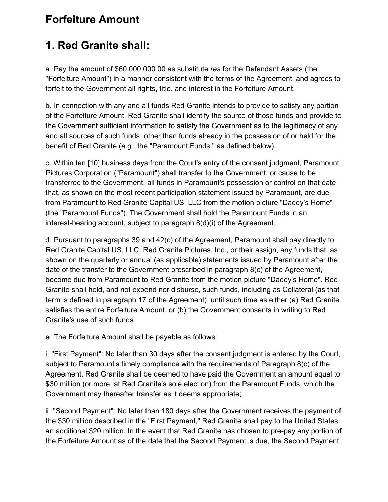#### **Forfeiture Amount**

# **1. Red Granite shall:**

a. Pay the amount of \$60,000,000.00 as substitute *res* for the Defendant Assets (the "Forfeiture Amount") in a manner consistent with the terms of the Agreement, and agrees to forfeit to the Government all rights, title, and interest in the Forfeiture Amount.

b. In connection with any and all funds Red Granite intends to provide to satisfy any portion of the Forfeiture Amount, Red Granite shall identify the source of those funds and provide to the Government sufficient information to satisfy the Government as to the legitimacy of any and all sources of such funds, other than funds already in the possession of or held for the benefit of Red Granite (*e.g.,* the "Paramount Funds," as defined below).

c. Within ten [10] business days from the Court's entry of the consent judgment, Paramount Pictures Corporation ("Paramount") shall transfer to the Government, or cause to be transferred to the Government, all funds in Paramount's possession or control on that date that, as shown on the most recent participation statement issued by Paramount, are due from Paramount to Red Granite Capital US, LLC from the motion picture "Daddy's Home" (the "Paramount Funds"). The Government shall hold the Paramount Funds in an interest-bearing account, subject to paragraph 8(d)(i) of the Agreement.

d. Pursuant to paragraphs 39 and 42(c) of the Agreement, Paramount shall pay directly to Red Granite Capital US, LLC, Red Granite Pictures, Inc., or their assign, any funds that, as shown on the quarterly or annual (as applicable) statements issued by Paramount after the date of the transfer to the Government prescribed in paragraph 8(c) of the Agreement, become due from Paramount to Red Granite from the motion picture "Daddy's Home". Red Granite shall hold, and not expend nor disburse, such funds, including as Collateral (as that term is defined in paragraph 17 of the Agreement), until such time as either (a) Red Granite satisfies the entire Forfeiture Amount, or (b) the Government consents in writing to Red Granite's use of such funds.

e. The Forfeiture Amount shall be payable as follows:

i. "First Payment": No later than 30 days after the consent judgment is entered by the Court, subject to Paramount's timely compliance with the requirements of Paragraph 8(c) of the Agreement, Red Granite shall be deemed to have paid the Government an amount equal to \$30 million (or more, at Red Granite's sole election) from the Paramount Funds, which the Government may thereafter transfer as it deems appropriate;

ii. "Second Payment": No later than 180 days after the Government receives the payment of the \$30 million described in the "First Payment," Red Granite shall pay to the United States an additional \$20 million. In the event that Red Granite has chosen to pre-pay any portion of the Forfeiture Amount as of the date that the Second Payment is due, the Second Payment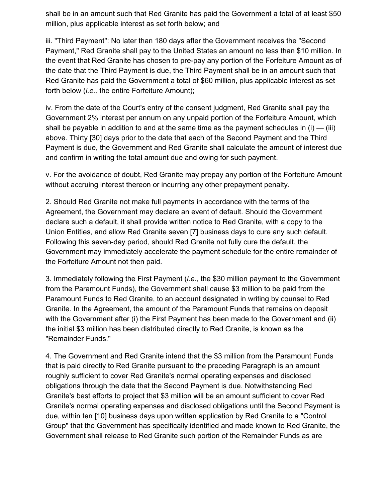shall be in an amount such that Red Granite has paid the Government a total of at least \$50 million, plus applicable interest as set forth below; and

iii. "Third Payment": No later than 180 days after the Government receives the "Second Payment," Red Granite shall pay to the United States an amount no less than \$10 million. In the event that Red Granite has chosen to pre-pay any portion of the Forfeiture Amount as of the date that the Third Payment is due, the Third Payment shall be in an amount such that Red Granite has paid the Government a total of \$60 million, plus applicable interest as set forth below (*i.e.,* the entire Forfeiture Amount);

iv. From the date of the Court's entry of the consent judgment, Red Granite shall pay the Government 2% interest per annum on any unpaid portion of the Forfeiture Amount, which shall be payable in addition to and at the same time as the payment schedules in  $(i)$  — (iii) above. Thirty [30] days prior to the date that each of the Second Payment and the Third Payment is due, the Government and Red Granite shall calculate the amount of interest due and confirm in writing the total amount due and owing for such payment.

v. For the avoidance of doubt, Red Granite may prepay any portion of the Forfeiture Amount without accruing interest thereon or incurring any other prepayment penalty.

2. Should Red Granite not make full payments in accordance with the terms of the Agreement, the Government may declare an event of default. Should the Government declare such a default, it shall provide written notice to Red Granite, with a copy to the Union Entities, and allow Red Granite seven [7] business days to cure any such default. Following this seven-day period, should Red Granite not fully cure the default, the Government may immediately accelerate the payment schedule for the entire remainder of the Forfeiture Amount not then paid.

3. Immediately following the First Payment (*i.e.,* the \$30 million payment to the Government from the Paramount Funds), the Government shall cause \$3 million to be paid from the Paramount Funds to Red Granite, to an account designated in writing by counsel to Red Granite. In the Agreement, the amount of the Paramount Funds that remains on deposit with the Government after (i) the First Payment has been made to the Government and (ii) the initial \$3 million has been distributed directly to Red Granite, is known as the "Remainder Funds."

4. The Government and Red Granite intend that the \$3 million from the Paramount Funds that is paid directly to Red Granite pursuant to the preceding Paragraph is an amount roughly sufficient to cover Red Granite's normal operating expenses and disclosed obligations through the date that the Second Payment is due. Notwithstanding Red Granite's best efforts to project that \$3 million will be an amount sufficient to cover Red Granite's normal operating expenses and disclosed obligations until the Second Payment is due, within ten [10] business days upon written application by Red Granite to a "Control Group" that the Government has specifically identified and made known to Red Granite, the Government shall release to Red Granite such portion of the Remainder Funds as are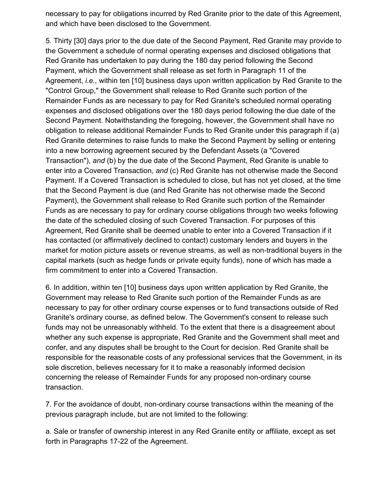necessary to pay for obligations incurred by Red Granite prior to the date of this Agreement, and which have been disclosed to the Government.

5. Thirty [30] days prior to the due date of the Second Payment, Red Granite may provide to the Government a schedule of normal operating expenses and disclosed obligations that Red Granite has undertaken to pay during the 180 day period following the Second Payment, which the Government shall release as set forth in Paragraph 11 of the Agreement, *i.e.,* within ten [10] business days upon written application by Red Granite to the "Control Group," the Government shall release to Red Granite such portion of the Remainder Funds as are necessary to pay for Red Granite's scheduled normal operating expenses and disclosed obligations over the 180 days period following the due date of the Second Payment. Notwithstanding the foregoing, however, the Government shall have no obligation to release additional Remainder Funds to Red Granite under this paragraph if (a) Red Granite determines to raise funds to make the Second Payment by selling or entering into a new borrowing agreement secured by the Defendant Assets (a "Covered Transaction"), *and* (b) by the due date of the Second Payment, Red Granite is unable to enter into a Covered Transaction, *and* (c) Red Granite has not otherwise made the Second Payment. If a Covered Transaction is scheduled to close, but has not yet closed, at the time that the Second Payment is due (and Red Granite has not otherwise made the Second Payment), the Government shall release to Red Granite such portion of the Remainder Funds as are necessary to pay for ordinary course obligations through two weeks following the date of the scheduled closing of such Covered Transaction. For purposes of this Agreement, Red Granite shall be deemed unable to enter into a Covered Transaction if it has contacted (or affirmatively declined to contact) customary lenders and buyers in the market for motion picture assets or revenue streams, as well as non-traditional buyers in the capital markets (such as hedge funds or private equity funds), none of which has made a firm commitment to enter into a Covered Transaction.

6. In addition, within ten [10] business days upon written application by Red Granite, the Government may release to Red Granite such portion of the Remainder Funds as are necessary to pay for other ordinary course expenses or to fund transactions outside of Red Granite's ordinary course, as defined below. The Government's consent to release such funds may not be unreasonably withheld. To the extent that there is a disagreement about whether any such expense is appropriate, Red Granite and the Government shall meet and confer, and any disputes shall be brought to the Court for decision. Red Granite shall be responsible for the reasonable costs of any professional services that the Government, in its sole discretion, believes necessary for it to make a reasonably informed decision concerning the release of Remainder Funds for any proposed non-ordinary course transaction.

7. For the avoidance of doubt, non-ordinary course transactions within the meaning of the previous paragraph include, but are not limited to the following:

a. Sale or transfer of ownership interest in any Red Granite entity or affiliate, except as set forth in Paragraphs 17-22 of the Agreement.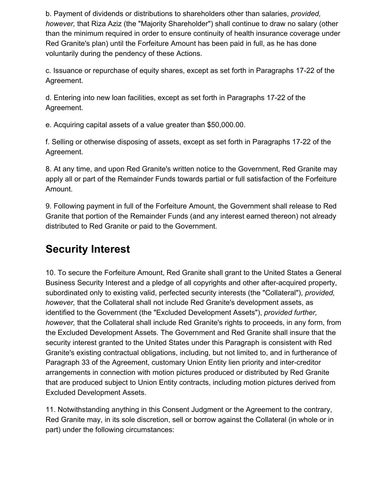b. Payment of dividends or distributions to shareholders other than salaries, *provided, however,* that Riza Aziz (the "Majority Shareholder") shall continue to draw no salary (other than the minimum required in order to ensure continuity of health insurance coverage under Red Granite's plan) until the Forfeiture Amount has been paid in full, as he has done voluntarily during the pendency of these Actions.

c. Issuance or repurchase of equity shares, except as set forth in Paragraphs 17-22 of the Agreement.

d. Entering into new loan facilities, except as set forth in Paragraphs 17-22 of the Agreement.

e. Acquiring capital assets of a value greater than \$50,000.00.

f. Selling or otherwise disposing of assets, except as set forth in Paragraphs 17-22 of the Agreement.

8. At any time, and upon Red Granite's written notice to the Government, Red Granite may apply all or part of the Remainder Funds towards partial or full satisfaction of the Forfeiture Amount.

9. Following payment in full of the Forfeiture Amount, the Government shall release to Red Granite that portion of the Remainder Funds (and any interest earned thereon) not already distributed to Red Granite or paid to the Government.

## **Security Interest**

10. To secure the Forfeiture Amount, Red Granite shall grant to the United States a General Business Security Interest and a pledge of all copyrights and other after-acquired property, subordinated only to existing valid, perfected security interests (the "Collateral"), *provided, however,* that the Collateral shall not include Red Granite's development assets, as identified to the Government (the "Excluded Development Assets"), *provided further, however,* that the Collateral shall include Red Granite's rights to proceeds, in any form, from the Excluded Development Assets. The Government and Red Granite shall insure that the security interest granted to the United States under this Paragraph is consistent with Red Granite's existing contractual obligations, including, but not limited to, and in furtherance of Paragraph 33 of the Agreement, customary Union Entity lien priority and inter-creditor arrangements in connection with motion pictures produced or distributed by Red Granite that are produced subject to Union Entity contracts, including motion pictures derived from Excluded Development Assets.

11. Notwithstanding anything in this Consent Judgment or the Agreement to the contrary, Red Granite may, in its sole discretion, sell or borrow against the Collateral (in whole or in part) under the following circumstances: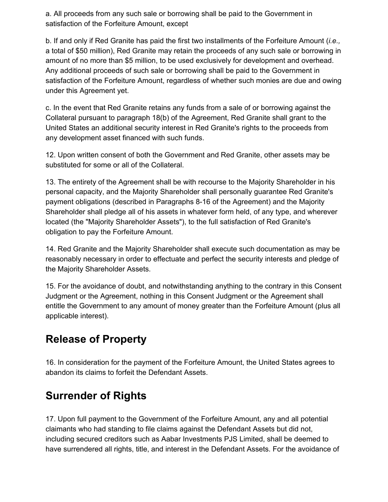a. All proceeds from any such sale or borrowing shall be paid to the Government in satisfaction of the Forfeiture Amount, except

b. If and only if Red Granite has paid the first two installments of the Forfeiture Amount (*i.e.,* a total of \$50 million), Red Granite may retain the proceeds of any such sale or borrowing in amount of no more than \$5 million, to be used exclusively for development and overhead. Any additional proceeds of such sale or borrowing shall be paid to the Government in satisfaction of the Forfeiture Amount, regardless of whether such monies are due and owing under this Agreement yet.

c. In the event that Red Granite retains any funds from a sale of or borrowing against the Collateral pursuant to paragraph 18(b) of the Agreement, Red Granite shall grant to the United States an additional security interest in Red Granite's rights to the proceeds from any development asset financed with such funds.

12. Upon written consent of both the Government and Red Granite, other assets may be substituted for some or all of the Collateral.

13. The entirety of the Agreement shall be with recourse to the Majority Shareholder in his personal capacity, and the Majority Shareholder shall personally guarantee Red Granite's payment obligations (described in Paragraphs 8-16 of the Agreement) and the Majority Shareholder shall pledge all of his assets in whatever form held, of any type, and wherever located (the "Majority Shareholder Assets"), to the full satisfaction of Red Granite's obligation to pay the Forfeiture Amount.

14. Red Granite and the Majority Shareholder shall execute such documentation as may be reasonably necessary in order to effectuate and perfect the security interests and pledge of the Majority Shareholder Assets.

15. For the avoidance of doubt, and notwithstanding anything to the contrary in this Consent Judgment or the Agreement, nothing in this Consent Judgment or the Agreement shall entitle the Government to any amount of money greater than the Forfeiture Amount (plus all applicable interest).

#### **Release of Property**

16. In consideration for the payment of the Forfeiture Amount, the United States agrees to abandon its claims to forfeit the Defendant Assets.

# **Surrender of Rights**

17. Upon full payment to the Government of the Forfeiture Amount, any and all potential claimants who had standing to file claims against the Defendant Assets but did not, including secured creditors such as Aabar Investments PJS Limited, shall be deemed to have surrendered all rights, title, and interest in the Defendant Assets. For the avoidance of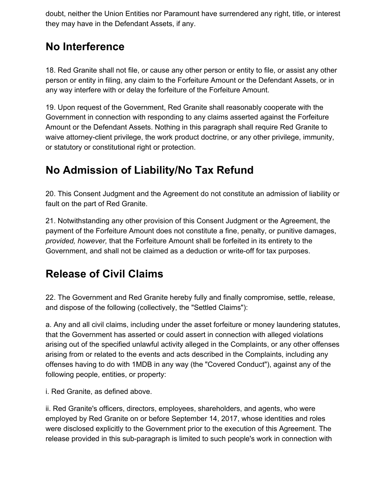doubt, neither the Union Entities nor Paramount have surrendered any right, title, or interest they may have in the Defendant Assets, if any.

## **No Interference**

18. Red Granite shall not file, or cause any other person or entity to file, or assist any other person or entity in filing, any claim to the Forfeiture Amount or the Defendant Assets, or in any way interfere with or delay the forfeiture of the Forfeiture Amount.

19. Upon request of the Government, Red Granite shall reasonably cooperate with the Government in connection with responding to any claims asserted against the Forfeiture Amount or the Defendant Assets. Nothing in this paragraph shall require Red Granite to waive attorney-client privilege, the work product doctrine, or any other privilege, immunity, or statutory or constitutional right or protection.

# **No Admission of Liability/No Tax Refund**

20. This Consent Judgment and the Agreement do not constitute an admission of liability or fault on the part of Red Granite.

21. Notwithstanding any other provision of this Consent Judgment or the Agreement, the payment of the Forfeiture Amount does not constitute a fine, penalty, or punitive damages, *provided, however,* that the Forfeiture Amount shall be forfeited in its entirety to the Government, and shall not be claimed as a deduction or write-off for tax purposes.

# **Release of Civil Claims**

22. The Government and Red Granite hereby fully and finally compromise, settle, release, and dispose of the following (collectively, the "Settled Claims"):

a. Any and all civil claims, including under the asset forfeiture or money laundering statutes, that the Government has asserted or could assert in connection with alleged violations arising out of the specified unlawful activity alleged in the Complaints, or any other offenses arising from or related to the events and acts described in the Complaints, including any offenses having to do with 1MDB in any way (the "Covered Conduct"), against any of the following people, entities, or property:

i. Red Granite, as defined above.

ii. Red Granite's officers, directors, employees, shareholders, and agents, who were employed by Red Granite on or before September 14, 2017, whose identities and roles were disclosed explicitly to the Government prior to the execution of this Agreement. The release provided in this sub-paragraph is limited to such people's work in connection with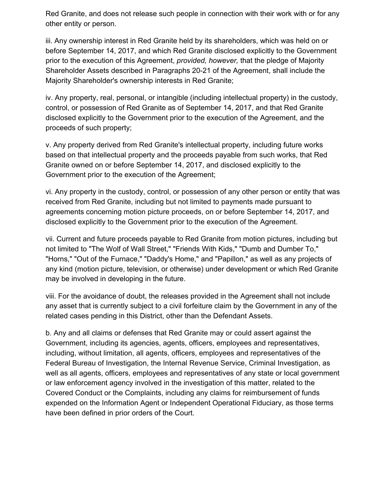Red Granite, and does not release such people in connection with their work with or for any other entity or person.

iii. Any ownership interest in Red Granite held by its shareholders, which was held on or before September 14, 2017, and which Red Granite disclosed explicitly to the Government prior to the execution of this Agreement, *provided, however,* that the pledge of Majority Shareholder Assets described in Paragraphs 20-21 of the Agreement, shall include the Majority Shareholder's ownership interests in Red Granite;

iv. Any property, real, personal, or intangible (including intellectual property) in the custody, control, or possession of Red Granite as of September 14, 2017, and that Red Granite disclosed explicitly to the Government prior to the execution of the Agreement, and the proceeds of such property;

v. Any property derived from Red Granite's intellectual property, including future works based on that intellectual property and the proceeds payable from such works, that Red Granite owned on or before September 14, 2017, and disclosed explicitly to the Government prior to the execution of the Agreement;

vi. Any property in the custody, control, or possession of any other person or entity that was received from Red Granite, including but not limited to payments made pursuant to agreements concerning motion picture proceeds, on or before September 14, 2017, and disclosed explicitly to the Government prior to the execution of the Agreement.

vii. Current and future proceeds payable to Red Granite from motion pictures, including but not limited to "The Wolf of Wall Street," "Friends With Kids," "Dumb and Dumber To," "Horns," "Out of the Furnace," "Daddy's Home," and "Papillon," as well as any projects of any kind (motion picture, television, or otherwise) under development or which Red Granite may be involved in developing in the future.

viii. For the avoidance of doubt, the releases provided in the Agreement shall not include any asset that is currently subject to a civil forfeiture claim by the Government in any of the related cases pending in this District, other than the Defendant Assets.

b. Any and all claims or defenses that Red Granite may or could assert against the Government, including its agencies, agents, officers, employees and representatives, including, without limitation, all agents, officers, employees and representatives of the Federal Bureau of Investigation, the Internal Revenue Service, Criminal Investigation, as well as all agents, officers, employees and representatives of any state or local government or law enforcement agency involved in the investigation of this matter, related to the Covered Conduct or the Complaints, including any claims for reimbursement of funds expended on the Information Agent or Independent Operational Fiduciary, as those terms have been defined in prior orders of the Court.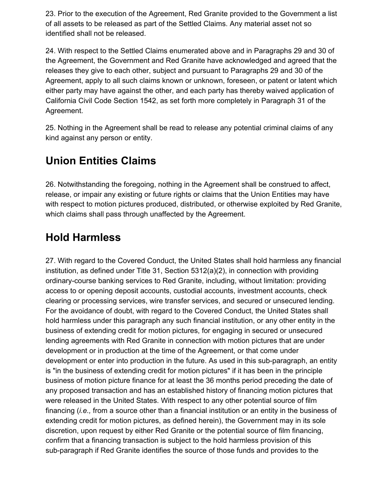23. Prior to the execution of the Agreement, Red Granite provided to the Government a list of all assets to be released as part of the Settled Claims. Any material asset not so identified shall not be released.

24. With respect to the Settled Claims enumerated above and in Paragraphs 29 and 30 of the Agreement, the Government and Red Granite have acknowledged and agreed that the releases they give to each other, subject and pursuant to Paragraphs 29 and 30 of the Agreement, apply to all such claims known or unknown, foreseen, or patent or latent which either party may have against the other, and each party has thereby waived application of California Civil Code Section 1542, as set forth more completely in Paragraph 31 of the Agreement.

25. Nothing in the Agreement shall be read to release any potential criminal claims of any kind against any person or entity.

## **Union Entities Claims**

26. Notwithstanding the foregoing, nothing in the Agreement shall be construed to affect, release, or impair any existing or future rights or claims that the Union Entities may have with respect to motion pictures produced, distributed, or otherwise exploited by Red Granite, which claims shall pass through unaffected by the Agreement.

## **Hold Harmless**

27. With regard to the Covered Conduct, the United States shall hold harmless any financial institution, as defined under Title 31, Section 5312(a)(2), in connection with providing ordinary-course banking services to Red Granite, including, without limitation: providing access to or opening deposit accounts, custodial accounts, investment accounts, check clearing or processing services, wire transfer services, and secured or unsecured lending. For the avoidance of doubt, with regard to the Covered Conduct, the United States shall hold harmless under this paragraph any such financial institution, or any other entity in the business of extending credit for motion pictures, for engaging in secured or unsecured lending agreements with Red Granite in connection with motion pictures that are under development or in production at the time of the Agreement, or that come under development or enter into production in the future. As used in this sub-paragraph, an entity is "in the business of extending credit for motion pictures" if it has been in the principle business of motion picture finance for at least the 36 months period preceding the date of any proposed transaction and has an established history of financing motion pictures that were released in the United States. With respect to any other potential source of film financing (*i.e.,* from a source other than a financial institution or an entity in the business of extending credit for motion pictures, as defined herein), the Government may in its sole discretion, upon request by either Red Granite or the potential source of film financing, confirm that a financing transaction is subject to the hold harmless provision of this sub-paragraph if Red Granite identifies the source of those funds and provides to the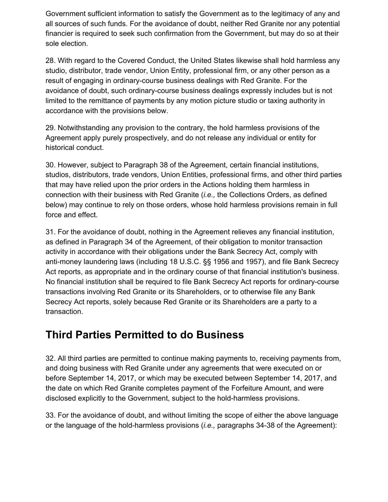Government sufficient information to satisfy the Government as to the legitimacy of any and all sources of such funds. For the avoidance of doubt, neither Red Granite nor any potential financier is required to seek such confirmation from the Government, but may do so at their sole election.

28. With regard to the Covered Conduct, the United States likewise shall hold harmless any studio, distributor, trade vendor, Union Entity, professional firm, or any other person as a result of engaging in ordinary-course business dealings with Red Granite. For the avoidance of doubt, such ordinary-course business dealings expressly includes but is not limited to the remittance of payments by any motion picture studio or taxing authority in accordance with the provisions below.

29. Notwithstanding any provision to the contrary, the hold harmless provisions of the Agreement apply purely prospectively, and do not release any individual or entity for historical conduct.

30. However, subject to Paragraph 38 of the Agreement, certain financial institutions, studios, distributors, trade vendors, Union Entities, professional firms, and other third parties that may have relied upon the prior orders in the Actions holding them harmless in connection with their business with Red Granite (*i.e.,* the Collections Orders, as defined below) may continue to rely on those orders, whose hold harmless provisions remain in full force and effect.

31. For the avoidance of doubt, nothing in the Agreement relieves any financial institution, as defined in Paragraph 34 of the Agreement, of their obligation to monitor transaction activity in accordance with their obligations under the Bank Secrecy Act, comply with anti-money laundering laws (including 18 U.S.C. §§ 1956 and 1957), and file Bank Secrecy Act reports, as appropriate and in the ordinary course of that financial institution's business. No financial institution shall be required to file Bank Secrecy Act reports for ordinary-course transactions involving Red Granite or its Shareholders, or to otherwise file any Bank Secrecy Act reports, solely because Red Granite or its Shareholders are a party to a transaction.

#### **Third Parties Permitted to do Business**

32. All third parties are permitted to continue making payments to, receiving payments from, and doing business with Red Granite under any agreements that were executed on or before September 14, 2017, or which may be executed between September 14, 2017, and the date on which Red Granite completes payment of the Forfeiture Amount, and were disclosed explicitly to the Government, subject to the hold-harmless provisions.

33. For the avoidance of doubt, and without limiting the scope of either the above language or the language of the hold-harmless provisions (*i.e.,* paragraphs 34-38 of the Agreement):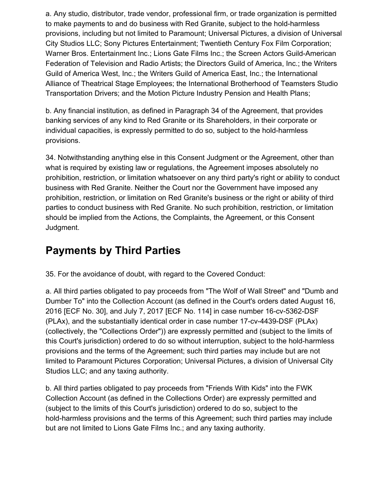a. Any studio, distributor, trade vendor, professional firm, or trade organization is permitted to make payments to and do business with Red Granite, subject to the hold-harmless provisions, including but not limited to Paramount; Universal Pictures, a division of Universal City Studios LLC; Sony Pictures Entertainment; Twentieth Century Fox Film Corporation; Warner Bros. Entertainment Inc.; Lions Gate Films Inc.; the Screen Actors Guild-American Federation of Television and Radio Artists; the Directors Guild of America, Inc.; the Writers Guild of America West, Inc.; the Writers Guild of America East, Inc.; the International Alliance of Theatrical Stage Employees; the International Brotherhood of Teamsters Studio Transportation Drivers; and the Motion Picture Industry Pension and Health Plans;

b. Any financial institution, as defined in Paragraph 34 of the Agreement, that provides banking services of any kind to Red Granite or its Shareholders, in their corporate or individual capacities, is expressly permitted to do so, subject to the hold-harmless provisions.

34. Notwithstanding anything else in this Consent Judgment or the Agreement, other than what is required by existing law or regulations, the Agreement imposes absolutely no prohibition, restriction, or limitation whatsoever on any third party's right or ability to conduct business with Red Granite. Neither the Court nor the Government have imposed any prohibition, restriction, or limitation on Red Granite's business or the right or ability of third parties to conduct business with Red Granite. No such prohibition, restriction, or limitation should be implied from the Actions, the Complaints, the Agreement, or this Consent Judgment.

## **Payments by Third Parties**

35. For the avoidance of doubt, with regard to the Covered Conduct:

a. All third parties obligated to pay proceeds from "The Wolf of Wall Street" and "Dumb and Dumber To" into the Collection Account (as defined in the Court's orders dated August 16, 2016 [ECF No. 30], and July 7, 2017 [ECF No. 114] in case number 16-cv-5362-DSF (PLAx), and the substantially identical order in case number 17-cv-4439-DSF (PLAx) (collectively, the "Collections Order")) are expressly permitted and (subject to the limits of this Court's jurisdiction) ordered to do so without interruption, subject to the hold-harmless provisions and the terms of the Agreement; such third parties may include but are not limited to Paramount Pictures Corporation; Universal Pictures, a division of Universal City Studios LLC; and any taxing authority.

b. All third parties obligated to pay proceeds from "Friends With Kids" into the FWK Collection Account (as defined in the Collections Order) are expressly permitted and (subject to the limits of this Court's jurisdiction) ordered to do so, subject to the hold-harmless provisions and the terms of this Agreement; such third parties may include but are not limited to Lions Gate Films Inc.; and any taxing authority.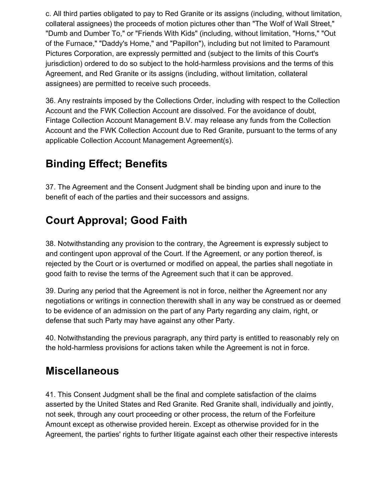c. All third parties obligated to pay to Red Granite or its assigns (including, without limitation, collateral assignees) the proceeds of motion pictures other than "The Wolf of Wall Street," "Dumb and Dumber To," or "Friends With Kids" (including, without limitation, "Horns," "Out of the Furnace," "Daddy's Home," and "Papillon"), including but not limited to Paramount Pictures Corporation, are expressly permitted and (subject to the limits of this Court's jurisdiction) ordered to do so subject to the hold-harmless provisions and the terms of this Agreement, and Red Granite or its assigns (including, without limitation, collateral assignees) are permitted to receive such proceeds.

36. Any restraints imposed by the Collections Order, including with respect to the Collection Account and the FWK Collection Account are dissolved. For the avoidance of doubt, Fintage Collection Account Management B.V. may release any funds from the Collection Account and the FWK Collection Account due to Red Granite, pursuant to the terms of any applicable Collection Account Management Agreement(s).

# **Binding Effect; Benefits**

37. The Agreement and the Consent Judgment shall be binding upon and inure to the benefit of each of the parties and their successors and assigns.

# **Court Approval; Good Faith**

38. Notwithstanding any provision to the contrary, the Agreement is expressly subject to and contingent upon approval of the Court. If the Agreement, or any portion thereof, is rejected by the Court or is overturned or modified on appeal, the parties shall negotiate in good faith to revise the terms of the Agreement such that it can be approved.

39. During any period that the Agreement is not in force, neither the Agreement nor any negotiations or writings in connection therewith shall in any way be construed as or deemed to be evidence of an admission on the part of any Party regarding any claim, right, or defense that such Party may have against any other Party.

40. Notwithstanding the previous paragraph, any third party is entitled to reasonably rely on the hold-harmless provisions for actions taken while the Agreement is not in force.

#### **Miscellaneous**

41. This Consent Judgment shall be the final and complete satisfaction of the claims asserted by the United States and Red Granite. Red Granite shall, individually and jointly, not seek, through any court proceeding or other process, the return of the Forfeiture Amount except as otherwise provided herein. Except as otherwise provided for in the Agreement, the parties' rights to further litigate against each other their respective interests